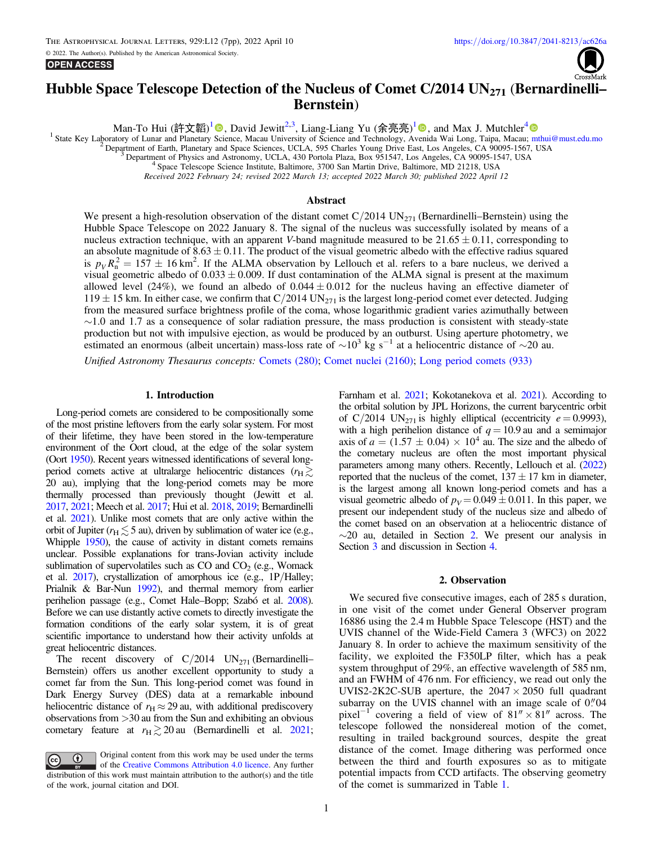## **OPEN ACCESS**



# Hubble Space Telescope Detection of the Nucleus of Comet C/2014  $UN_{271}$  (Bernardinelli-Bernstein)

Man-To Hui (許文韜)<sup>[1](https://orcid.org/0000-0003-4539-9011)</sup> . David Jewitt<sup>2,3</sup>, Liang-Liang Yu (余亮亮)<sup>1</sup> . and Max J. Mutchler<sup>[4](https://orcid.org/0000-0002-0088-3021)</sup>

<sup>1</sup> State Key Laboratory of Lunar and Planetary Science, Macau University of Science and Technology, Avenida Wai Long, Taipa, Macau; [mthui@must.edu.mo](mailto:mthui@must.edu.mo)

Received 2022 February 24; revised 2022 March 13; accepted 2022 March 30; published 2022 April 12

# Abstract

We present a high-resolution observation of the distant comet  $C/2014$  UN<sub>271</sub> (Bernardinelli–Bernstein) using the Hubble Space Telescope on 2022 January 8. The signal of the nucleus was successfully isolated by means of a nucleus extraction technique, with an apparent V-band magnitude measured to be  $21.65 \pm 0.11$ , corresponding to an absolute magnitude of  $8.63 \pm 0.11$ . The product of the visual geometric albedo with the effective radius squared is  $p_V R_n^2 = 157 \pm 16$  km<sup>2</sup>. If the ALMA observation by Lellouch et al. refers to a bare nucleus, we derived a visual geometric albedo of  $0.033 \pm 0.009$ . If dust contamination of the ALMA signal is present at the maximum allowed level (24%), we found an albedo of  $0.044 \pm 0.012$  for the nucleus having an effective diameter of  $119 \pm 15$  km. In either case, we confirm that C/2014 UN<sub>271</sub> is the largest long-period comet ever detected. Judging from the measured surface brightness profile of the coma, whose logarithmic gradient varies azimuthally between ∼1.0 and 1.7 as a consequence of solar radiation pressure, the mass production is consistent with steady-state production but not with impulsive ejection, as would be produced by an outburst. Using aperture photometry, we estimated an enormous (albeit uncertain) mass-loss rate of  $\sim 10^3$  kg s<sup>-1</sup> at a heliocentric distance of  $\$ 

Unified Astronomy Thesaurus concepts: [Comets](http://astrothesaurus.org/uat/280) (280); [Comet nuclei](http://astrothesaurus.org/uat/2160) (2160); [Long period comets](http://astrothesaurus.org/uat/933) (933)

#### 1. Introduction

Long-period comets are considered to be compositionally some of the most pristine leftovers from the early solar system. For most of their lifetime, they have been stored in the low-temperature environment of the Oort cloud, at the edge of the solar system (Oort [1950](#page-6-0)). Recent years witnessed identifications of several longperiod comets active at ultralarge heliocentric distances ( $r_{\rm H} \gtrsim$ 20 au), implying that the long-period comets may be more thermally processed than previously thought (Jewitt et al. [2017,](#page-6-0) [2021](#page-6-0); Meech et al. [2017;](#page-6-0) Hui et al. [2018](#page-6-0), [2019;](#page-6-0) Bernardinelli et al. [2021](#page-6-0)). Unlike most comets that are only active within the orbit of Jupiter ( $r_H \lesssim 5$  au), driven by sublimation of water ice (e.g., Whipple [1950](#page-6-0)), the cause of activity in distant comets remains unclear. Possible explanations for trans-Jovian activity include sublimation of supervolatiles such as  $CO$  and  $CO<sub>2</sub>$  (e.g., Womack et al. [2017](#page-6-0)), crystallization of amorphous ice (e.g., 1P/Halley; Prialnik & Bar-Nun [1992](#page-6-0)), and thermal memory from earlier perihelion passage (e.g., Comet Hale–Bopp; Szabó et al. [2008](#page-6-0)). Before we can use distantly active comets to directly investigate the formation conditions of the early solar system, it is of great scientific importance to understand how their activity unfolds at great heliocentric distances.

The recent discovery of  $C/2014$  UN<sub>271</sub> (Bernardinelli– Bernstein) offers us another excellent opportunity to study a comet far from the Sun. This long-period comet was found in Dark Energy Survey (DES) data at a remarkable inbound heliocentric distance of  $r_H \approx 29$  au, with additional prediscovery observations from >30 au from the Sun and exhibiting an obvious cometary feature at  $r_{\text{H}} \gtrsim 20 \text{ au}$  (Bernardinelli et al. [2021](#page-6-0);

Original content from this work may be used under the terms  $\left(\mathrm{cc}\right)$ of the [Creative Commons Attribution 4.0 licence.](http://creativecommons.org/licenses/by/4.0/) Any further distribution of this work must maintain attribution to the author(s) and the title of the work, journal citation and DOI.

Farnham et al. [2021;](#page-6-0) Kokotanekova et al. [2021](#page-6-0)). According to the orbital solution by JPL Horizons, the current barycentric orbit of C/2014 UN<sub>271</sub> is highly elliptical (eccentricity  $e = 0.9993$ ), with a high perihelion distance of  $q = 10.9$  au and a semimajor axis of  $a = (1.57 \pm 0.04) \times 10^4$  au. The size and the albedo of the cometary nucleus are often the most important physical parameters among many others. Recently, Lellouch et al. ([2022](#page-6-0)) reported that the nucleus of the comet,  $137 \pm 17$  km in diameter, is the largest among all known long-period comets and has a visual geometric albedo of  $p_V = 0.049 \pm 0.011$ . In this paper, we present our independent study of the nucleus size and albedo of the comet based on an observation at a heliocentric distance of  $\sim$ 20 au, detailed in Section 2. We present our analysis in Section [3](#page-1-0) and discussion in Section [4.](#page-3-0)

## 2. Observation

We secured five consecutive images, each of 285 s duration, in one visit of the comet under General Observer program 16886 using the 2.4 m Hubble Space Telescope (HST) and the UVIS channel of the Wide-Field Camera 3 (WFC3) on 2022 January 8. In order to achieve the maximum sensitivity of the facility, we exploited the F350LP filter, which has a peak system throughput of 29%, an effective wavelength of 585 nm, and an FWHM of 476 nm. For efficiency, we read out only the UVIS2-2K2C-SUB aperture, the  $2047 \times 2050$  full quadrant subarray on the UVIS channel with an image scale of  $0$ ." $04$ pixel<sup>-1</sup> covering a field of view of  $81'' \times 81''$  across. The telescope followed the nonsidereal motion of the comet, resulting in trailed background sources, despite the great distance of the comet. Image dithering was performed once between the third and fourth exposures so as to mitigate potential impacts from CCD artifacts. The observing geometry of the comet is summarized in Table [1](#page-1-0).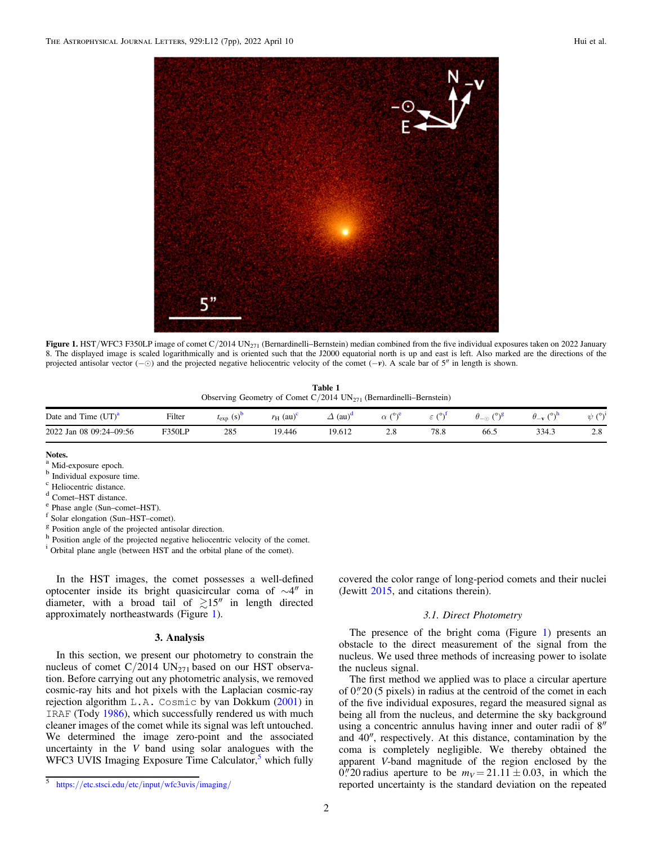<span id="page-1-0"></span>

Figure 1. HST/WFC3 F350LP image of comet  $C/2014$  UN<sub>271</sub> (Bernardinelli–Bernstein) median combined from the five individual exposures taken on 2022 January 8. The displayed image is scaled logarithmically and is oriented such that the J2000 equatorial north is up and east is left. Also marked are the directions of the projected antisolar vector (−⊙) and the projected negative heliocentric velocity of the comet (−v). A scale bar of 5″ in length is shown.

Table 1 Observing Geometry of Comet  $C/2014$  UN<sub>271</sub> (Bernardinelli–Bernstein)

| .<br>$(UT)^a$<br>Date and<br>$1$ ime $\theta$ | Filter        | $(s)^{v}$<br>$\iota_{\exp}$ | $(au)^c$<br>$r_{\rm H}$ | $\sqrt{1}$<br>(au) | 2016       | (0)  | 079<br>$-\circ$ | (0, 0)<br>$U -$ | (0)                          |
|-----------------------------------------------|---------------|-----------------------------|-------------------------|--------------------|------------|------|-----------------|-----------------|------------------------------|
| 2022 Jan 08 09:24-09:56                       | <b>F350LP</b> | 285                         | 19.446                  | 19.612             | 2.8<br>___ | 78.8 | 66.5            | 334.3           | $\Omega$<br>$\mathcal{L}$ .0 |

# Notes.

- 
- 
- <sup>e</sup> Phase angle (Sun–comet–HST).<br><sup>f</sup> Solar elongation (Sun–HST–comet). g Position angle of the projected antisolar direction.
- h Position angle of the projected negative heliocentric velocity of the comet.

<sup>i</sup> Orbital plane angle (between HST and the orbital plane of the comet).

In the HST images, the comet possesses a well-defined optocenter inside its bright quasicircular coma of ∼4″ in diameter, with a broad tail of  $\gtrsim 15''$  in length directed approximately northeastwards (Figure 1).

## 3. Analysis

In this section, we present our photometry to constrain the nucleus of comet  $C/2014$  UN<sub>271</sub> based on our HST observation. Before carrying out any photometric analysis, we removed cosmic-ray hits and hot pixels with the Laplacian cosmic-ray rejection algorithm L.A. Cosmic by van Dokkum ([2001](#page-6-0)) in IRAF (Tody [1986](#page-6-0)), which successfully rendered us with much cleaner images of the comet while its signal was left untouched. We determined the image zero-point and the associated uncertainty in the  $V$  band using solar analogues with the WFC3 UVIS Imaging Exposure Time Calculator,<sup>5</sup> which fully

covered the color range of long-period comets and their nuclei (Jewitt [2015,](#page-6-0) and citations therein).

# 3.1. Direct Photometry

The presence of the bright coma (Figure 1) presents an obstacle to the direct measurement of the signal from the nucleus. We used three methods of increasing power to isolate the nucleus signal.

The first method we applied was to place a circular aperture of  $0$ .  $\frac{20}{5}$  pixels) in radius at the centroid of the comet in each of the five individual exposures, regard the measured signal as being all from the nucleus, and determine the sky background using a concentric annulus having inner and outer radii of 8″ and 40″, respectively. At this distance, contamination by the coma is completely negligible. We thereby obtained the apparent V-band magnitude of the region enclosed by the 0."20 radius aperture to be  $m_V = 21.11 \pm 0.03$ , in which the reported uncertainty is the standard deviation on the repeated

<sup>&</sup>lt;sup>a</sup> Mid-exposure epoch.

b Individual exposure time.<br>
c Heliocentric distance.<br>
<sup>d</sup> Comet–HST distance.

<sup>5</sup> https://[etc.stsci.edu](https://etc.stsci.edu/etc/input/wfc3uvis/imaging/)/etc/input/wfc3uvis/imaging/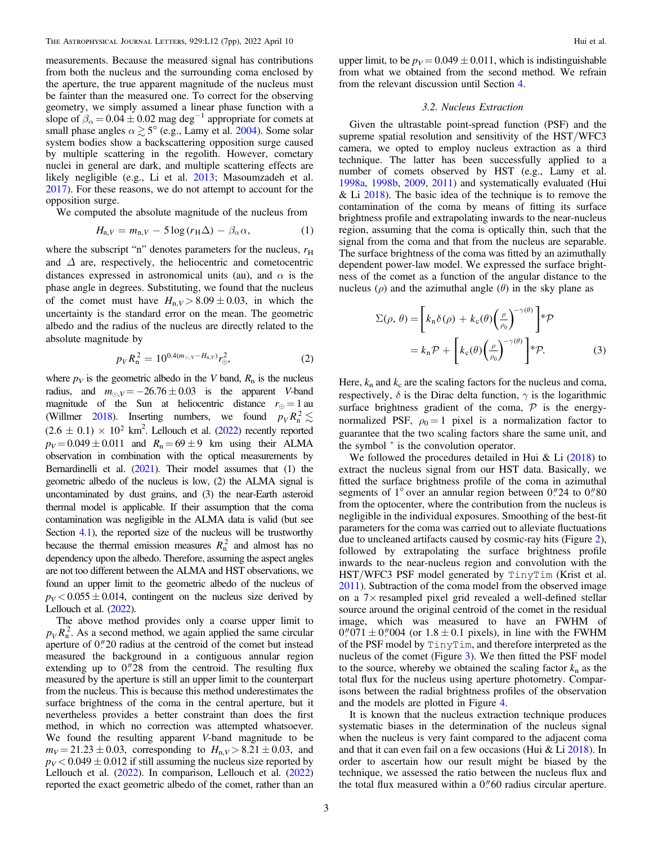<span id="page-2-0"></span>measurements. Because the measured signal has contributions from both the nucleus and the surrounding coma enclosed by the aperture, the true apparent magnitude of the nucleus must be fainter than the measured one. To correct for the observing geometry, we simply assumed a linear phase function with a slope of  $\beta_{\alpha} = 0.04 \pm 0.02$  mag deg<sup>-1</sup> appropriate for comets at small phase angles  $\alpha \gtrsim 5^{\circ}$  (e.g., Lamy et al. [2004](#page-6-0)). Some solar system bodies show a backscattering opposition surge caused by multiple scattering in the regolith. However, cometary nuclei in general are dark, and multiple scattering effects are likely negligible (e.g., Li et al. [2013](#page-6-0); Masoumzadeh et al. [2017](#page-6-0)). For these reasons, we do not attempt to account for the opposition surge.

We computed the absolute magnitude of the nucleus from

$$
H_{n,V} = m_{n,V} - 5\log(r_H\Delta) - \beta_\alpha\alpha,\tag{1}
$$

where the subscript "n" denotes parameters for the nucleus,  $r<sub>H</sub>$ and  $\Delta$  are, respectively, the heliocentric and cometocentric distances expressed in astronomical units (au), and  $\alpha$  is the phase angle in degrees. Substituting, we found that the nucleus of the comet must have  $H_{n,V} > 8.09 \pm 0.03$ , in which the uncertainty is the standard error on the mean. The geometric albedo and the radius of the nucleus are directly related to the absolute magnitude by

$$
p_V R_n^2 = 10^{0.4(m_{\odot}, V - H_{n,V})} r_{\oplus}^2,
$$
 (2)

where  $p_V$  is the geometric albedo in the V band,  $R_n$  is the nucleus radius, and  $m_{\odot,V} = -26.76 \pm 0.03$  is the apparent V-band magnitude of the Sun at heliocentric distance  $r_{\oplus} = 1$  au (Willmer [2018](#page-6-0)). Inserting numbers, we found  $p_V R_n^2 \lesssim$  $(2.6 \pm 0.1) \times 10^2$  km<sup>2</sup>. Lellouch et al. ([2022](#page-6-0)) recently reported  $p_V = 0.049 \pm 0.011$  and  $R_n = 69 \pm 9$  km using their ALMA observation in combination with the optical measurements by Bernardinelli et al.  $(2021)$  $(2021)$  $(2021)$ . Their model assumes that  $(1)$  the geometric albedo of the nucleus is low, (2) the ALMA signal is uncontaminated by dust grains, and (3) the near-Earth asteroid thermal model is applicable. If their assumption that the coma contamination was negligible in the ALMA data is valid (but see Section [4.1](#page-3-0)), the reported size of the nucleus will be trustworthy because the thermal emission measures  $R<sub>n</sub><sup>2</sup>$  and almost has no dependency upon the albedo. Therefore, assuming the aspect angles are not too different between the ALMA and HST observations, we found an upper limit to the geometric albedo of the nucleus of  $p_V < 0.055 \pm 0.014$ , contingent on the nucleus size derived by Lellouch et al. ([2022](#page-6-0)).

The above method provides only a coarse upper limit to  $p_V R_n^2$ . As a second method, we again applied the same circular aperture of  $0$ ." 20 radius at the centroid of the comet but instead measured the background in a contiguous annular region extending up to  $0''28$  from the centroid. The resulting flux measured by the aperture is still an upper limit to the counterpart from the nucleus. This is because this method underestimates the surface brightness of the coma in the central aperture, but it nevertheless provides a better constraint than does the first method, in which no correction was attempted whatsoever. We found the resulting apparent V-band magnitude to be  $m_V = 21.23 \pm 0.03$ , corresponding to  $H_{n, V} > 8.21 \pm 0.03$ , and  $p_V < 0.049 \pm 0.012$  if still assuming the nucleus size reported by Lellouch et al. ([2022](#page-6-0)). In comparison, Lellouch et al. ([2022](#page-6-0)) reported the exact geometric albedo of the comet, rather than an

upper limit, to be  $p_V = 0.049 \pm 0.011$ , which is indistinguishable from what we obtained from the second method. We refrain from the relevant discussion until Section [4.](#page-3-0)

## 3.2. Nucleus Extraction

Given the ultrastable point-spread function (PSF) and the supreme spatial resolution and sensitivity of the HST/WFC3 camera, we opted to employ nucleus extraction as a third technique. The latter has been successfully applied to a number of comets observed by HST (e.g., Lamy et al. [1998a](#page-6-0), [1998b](#page-6-0), [2009](#page-6-0), [2011](#page-6-0)) and systematically evaluated (Hui & Li  $2018$ ). The basic idea of the technique is to remove the contamination of the coma by means of fitting its surface brightness profile and extrapolating inwards to the near-nucleus region, assuming that the coma is optically thin, such that the signal from the coma and that from the nucleus are separable. The surface brightness of the coma was fitted by an azimuthally dependent power-law model. We expressed the surface brightness of the comet as a function of the angular distance to the nucleus ( $ρ$ ) and the azimuthal angle ( $θ$ ) in the sky plane as

$$
\Sigma(\rho, \theta) = \left[k_n \delta(\rho) + k_c(\theta) \left(\frac{\rho}{\rho_0}\right)^{-\gamma(\theta)}\right] * \mathcal{P}
$$

$$
= k_n \mathcal{P} + \left[k_c(\theta) \left(\frac{\rho}{\rho_0}\right)^{-\gamma(\theta)}\right] * \mathcal{P}.
$$
 (3)

Here,  $k_n$  and  $k_c$  are the scaling factors for the nucleus and coma, respectively,  $\delta$  is the Dirac delta function,  $\gamma$  is the logarithmic surface brightness gradient of the coma,  $\mathcal P$  is the energynormalized PSF,  $\rho_0 = 1$  pixel is a normalization factor to guarantee that the two scaling factors share the same unit, and the symbol \* is the convolution operator.

We followed the procedures detailed in Hui & Li  $(2018)$  $(2018)$  $(2018)$  to extract the nucleus signal from our HST data. Basically, we fitted the surface brightness profile of the coma in azimuthal segments of  $1^{\circ}$  over an annular region between 0."24 to 0."80 from the optocenter, where the contribution from the nucleus is negligible in the individual exposures. Smoothing of the best-fit parameters for the coma was carried out to alleviate fluctuations due to uncleaned artifacts caused by cosmic-ray hits (Figure [2](#page-3-0)), followed by extrapolating the surface brightness profile inwards to the near-nucleus region and convolution with the HST/WFC3 PSF model generated by TinyTim (Krist et al. [2011](#page-6-0)). Subtraction of the coma model from the observed image on a 7× resampled pixel grid revealed a well-defined stellar source around the original centroid of the comet in the residual image, which was measured to have an FWHM of  $0''071 \pm 0''004$  (or  $1.8 \pm 0.1$  pixels), in line with the FWHM of the PSF model by TinyTim, and therefore interpreted as the nucleus of the comet (Figure [3](#page-3-0)). We then fitted the PSF model to the source, whereby we obtained the scaling factor  $k_n$  as the total flux for the nucleus using aperture photometry. Comparisons between the radial brightness profiles of the observation and the models are plotted in Figure [4.](#page-4-0)

It is known that the nucleus extraction technique produces systematic biases in the determination of the nucleus signal when the nucleus is very faint compared to the adjacent coma and that it can even fail on a few occasions (Hui  $& Li\ 2018$  $& Li\ 2018$ ). In order to ascertain how our result might be biased by the technique, we assessed the ratio between the nucleus flux and the total flux measured within a  $0''$  60 radius circular aperture.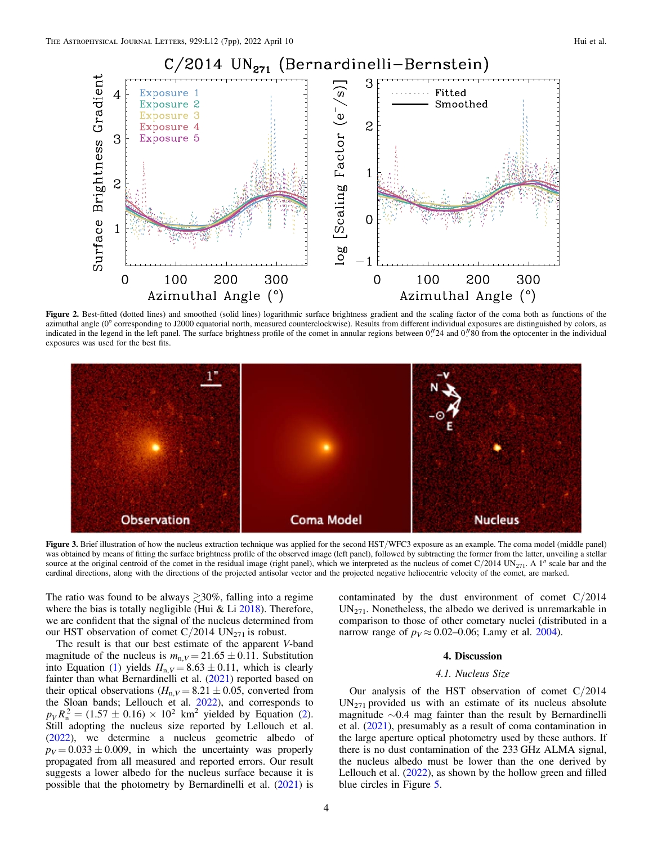<span id="page-3-0"></span>

Figure 2. Best-fitted (dotted lines) and smoothed (solid lines) logarithmic surface brightness gradient and the scaling factor of the coma both as functions of the azimuthal angle (0° corresponding to J2000 equatorial north, measured counterclockwise). Results from different individual exposures are distinguished by colors, as indicated in the legend in the left panel. The surface brightness profile of the comet in annular regions between 0."24 and 0."80 from the optocenter in the individual exposures was used for the best fits.



Figure 3. Brief illustration of how the nucleus extraction technique was applied for the second HST/WFC3 exposure as an example. The coma model (middle panel) was obtained by means of fitting the surface brightness profile of the observed image (left panel), followed by subtracting the former from the latter, unveiling a stellar source at the original centroid of the comet in the residual image (right panel), which we interpreted as the nucleus of comet  $C/2014$  UN<sub>271</sub>. A 1" scale bar and the cardinal directions, along with the directions of the projected antisolar vector and the projected negative heliocentric velocity of the comet, are marked.

The ratio was found to be always  $\geq 30\%$ , falling into a regime where the bias is totally negligible (Hui  $&$  Li  $2018$ ). Therefore, we are confident that the signal of the nucleus determined from our HST observation of comet  $C/2014$  UN<sub>271</sub> is robust.

The result is that our best estimate of the apparent V-band magnitude of the nucleus is  $m_{n,V} = 21.65 \pm 0.11$ . Substitution into Equation ([1](#page-2-0)) yields  $H_{n,V} = 8.63 \pm 0.11$ , which is clearly fainter than what Bernardinelli et al. ([2021](#page-6-0)) reported based on their optical observations ( $H_{n,V} = 8.21 \pm 0.05$ , converted from the Sloan bands; Lellouch et al. [2022](#page-6-0)), and corresponds to  $p_V R_n^2 = (1.57 \pm 0.16) \times 10^2$  $p_V R_n^2 = (1.57 \pm 0.16) \times 10^2$  $p_V R_n^2 = (1.57 \pm 0.16) \times 10^2$  km<sup>2</sup> yielded by Equation (2). Still adopting the nucleus size reported by Lellouch et al. ([2022](#page-6-0)), we determine a nucleus geometric albedo of  $p_V = 0.033 \pm 0.009$ , in which the uncertainty was properly propagated from all measured and reported errors. Our result suggests a lower albedo for the nucleus surface because it is possible that the photometry by Bernardinelli et al. ([2021](#page-6-0)) is

contaminated by the dust environment of comet  $C/2014$  $UN_{271}$ . Nonetheless, the albedo we derived is unremarkable in comparison to those of other cometary nuclei (distributed in a narrow range of  $p_V \approx 0.02{\text -}0.06$ ; Lamy et al. [2004](#page-6-0)).

# 4. Discussion

#### 4.1. Nucleus Size

Our analysis of the HST observation of comet  $C/2014$  $UN_{271}$  provided us with an estimate of its nucleus absolute magnitude ∼0.4 mag fainter than the result by Bernardinelli et al. ([2021](#page-6-0)), presumably as a result of coma contamination in the large aperture optical photometry used by these authors. If there is no dust contamination of the 233 GHz ALMA signal, the nucleus albedo must be lower than the one derived by Lellouch et al. ([2022](#page-6-0)), as shown by the hollow green and filled blue circles in Figure [5](#page-5-0).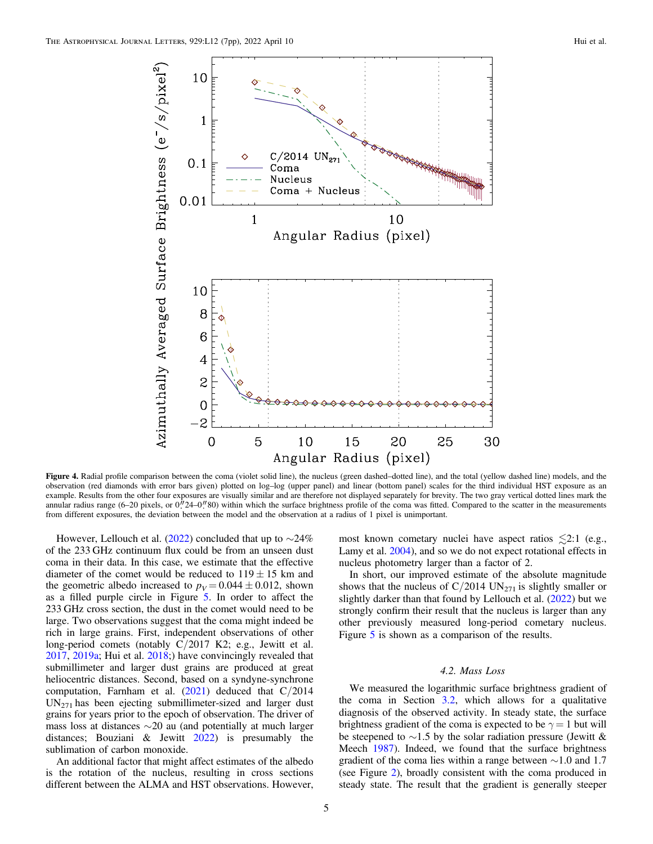<span id="page-4-0"></span>

Figure 4. Radial profile comparison between the coma (violet solid line), the nucleus (green dashed–dotted line), and the total (yellow dashed line) models, and the observation (red diamonds with error bars given) plotted on log–log (upper panel) and linear (bottom panel) scales for the third individual HST exposure as an example. Results from the other four exposures are visually similar and are therefore not displayed separately for brevity. The two gray vertical dotted lines mark the annular radius range  $(6-20)$  pixels, or  $0<sup>h</sup>24-0<sup>h</sup>80$ ) within which the surface brightness profile of the coma was fitted. Compared to the scatter in the measurements from different exposures, the deviation between the model and the observation at a radius of 1 pixel is unimportant.

However, Lellouch et al. ([2022](#page-6-0)) concluded that up to  $\sim$ 24% of the 233 GHz continuum flux could be from an unseen dust coma in their data. In this case, we estimate that the effective diameter of the comet would be reduced to  $119 \pm 15$  km and the geometric albedo increased to  $p_V = 0.044 \pm 0.012$ , shown as a filled purple circle in Figure [5.](#page-5-0) In order to affect the 233 GHz cross section, the dust in the comet would need to be large. Two observations suggest that the coma might indeed be rich in large grains. First, independent observations of other long-period comets (notably C/2017 K2; e.g., Jewitt et al. [2017,](#page-6-0) [2019a;](#page-6-0) Hui et al. [2018](#page-6-0);) have convincingly revealed that submillimeter and larger dust grains are produced at great heliocentric distances. Second, based on a syndyne-synchrone computation, Farnham et al.  $(2021)$  $(2021)$  $(2021)$  deduced that  $C/2014$  $UN_{271}$  has been ejecting submillimeter-sized and larger dust grains for years prior to the epoch of observation. The driver of mass loss at distances ∼20 au (and potentially at much larger distances; Bouziani & Jewitt [2022](#page-6-0)) is presumably the sublimation of carbon monoxide.

An additional factor that might affect estimates of the albedo is the rotation of the nucleus, resulting in cross sections different between the ALMA and HST observations. However,

most known cometary nuclei have aspect ratios  $\leq 2:1$  (e.g., Lamy et al. [2004](#page-6-0)), and so we do not expect rotational effects in nucleus photometry larger than a factor of 2.

In short, our improved estimate of the absolute magnitude shows that the nucleus of  $C/2014$  UN<sub>271</sub> is slightly smaller or slightly darker than that found by Lellouch et al. ([2022](#page-6-0)) but we strongly confirm their result that the nucleus is larger than any other previously measured long-period cometary nucleus. Figure [5](#page-5-0) is shown as a comparison of the results.

#### 4.2. Mass Loss

We measured the logarithmic surface brightness gradient of the coma in Section [3.2,](#page-2-0) which allows for a qualitative diagnosis of the observed activity. In steady state, the surface brightness gradient of the coma is expected to be  $\gamma = 1$  but will be steepened to  $\sim$ 1.5 by the solar radiation pressure (Jewitt & Meech [1987](#page-6-0)). Indeed, we found that the surface brightness gradient of the coma lies within a range between ∼1.0 and 1.7 (see Figure [2](#page-3-0)), broadly consistent with the coma produced in steady state. The result that the gradient is generally steeper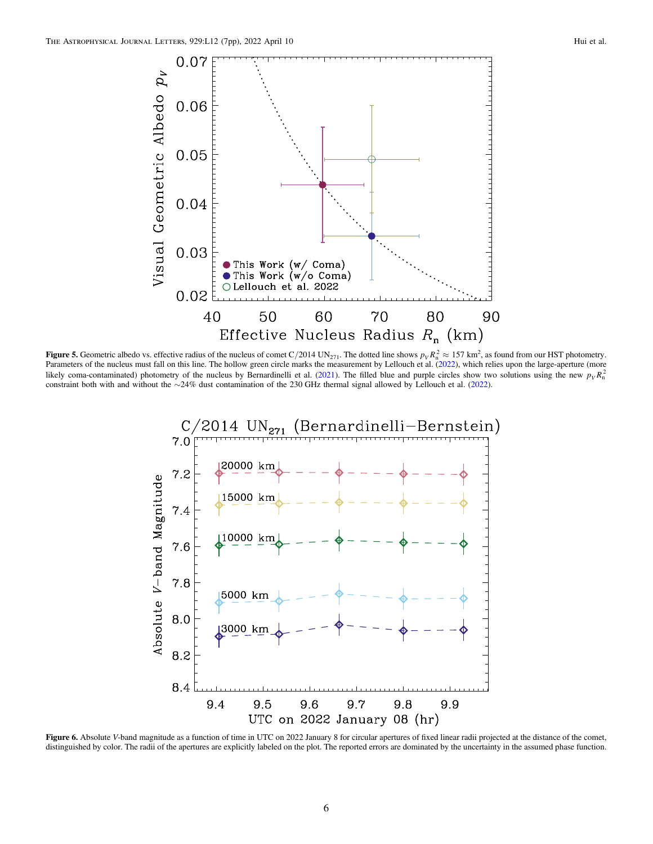<span id="page-5-0"></span>

**Figure 5.** Geometric albedo vs. effective radius of the nucleus of comet C/2014 UN<sub>271</sub>. The dotted line shows  $p_V R_n^2 \approx 157 \text{ km}^2$ , as found from our HST photometry. Parameters of the nucleus must fall on this line. The hollow green circle marks the measurement by Lellouch et al. ([2022](#page-6-0)), which relies upon the large-aperture (more likely coma-contaminated) photometry of the nucleus by Bernardinelli et al. ([2021](#page-6-0)). The filled blue and purple circles show two solutions using the new  $p_V R_n^2$ constraint both with and without the ∼24% dust contamination of the 230 GHz thermal signal allowed by Lellouch et al. ([2022](#page-6-0)).



Figure 6. Absolute V-band magnitude as a function of time in UTC on 2022 January 8 for circular apertures of fixed linear radii projected at the distance of the comet, distinguished by color. The radii of the apertures are explicitly labeled on the plot. The reported errors are dominated by the uncertainty in the assumed phase function.